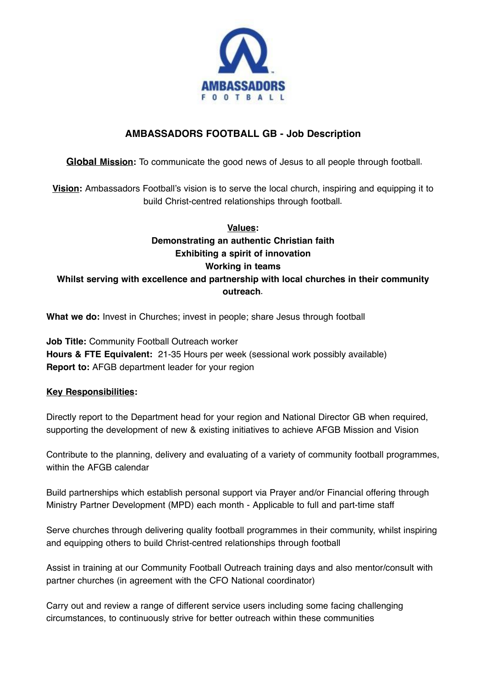

# **AMBASSADORS FOOTBALL GB - Job Description**

**Global Mission:** To communicate the good news of Jesus to all people through football**.**

**Vision:** Ambassadors Football's vision is to serve the local church, inspiring and equipping it to build Christ-centred relationships through football**.**

# **Values: Demonstrating an authentic Christian faith Exhibiting a spirit of innovation Working in teams Whilst serving with excellence and partnership with local churches in their community outreach.**

**What we do:** Invest in Churches; invest in people; share Jesus through football

**Job Title:** Community Football Outreach worker **Hours & FTE Equivalent:** 21-35 Hours per week (sessional work possibly available) **Report to:** AFGB department leader for your region

### **Key Responsibilities:**

Directly report to the Department head for your region and National Director GB when required, supporting the development of new & existing initiatives to achieve AFGB Mission and Vision

Contribute to the planning, delivery and evaluating of a variety of community football programmes, within the AFGB calendar

Build partnerships which establish personal support via Prayer and/or Financial offering through Ministry Partner Development (MPD) each month - Applicable to full and part-time staff

Serve churches through delivering quality football programmes in their community, whilst inspiring and equipping others to build Christ-centred relationships through football

Assist in training at our Community Football Outreach training days and also mentor/consult with partner churches (in agreement with the CFO National coordinator)

Carry out and review a range of different service users including some facing challenging circumstances, to continuously strive for better outreach within these communities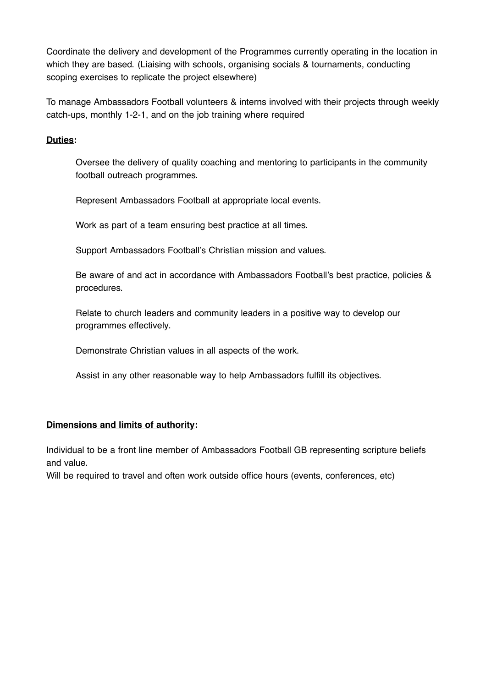Coordinate the delivery and development of the Programmes currently operating in the location in which they are based. (Liaising with schools, organising socials & tournaments, conducting scoping exercises to replicate the project elsewhere)

To manage Ambassadors Football volunteers & interns involved with their projects through weekly catch-ups, monthly 1-2-1, and on the job training where required

### **Duties:**

Oversee the delivery of quality coaching and mentoring to participants in the community football outreach programmes.

Represent Ambassadors Football at appropriate local events.

Work as part of a team ensuring best practice at all times.

Support Ambassadors Football's Christian mission and values.

Be aware of and act in accordance with Ambassadors Football's best practice, policies & procedures.

Relate to church leaders and community leaders in a positive way to develop our programmes effectively.

Demonstrate Christian values in all aspects of the work.

Assist in any other reasonable way to help Ambassadors fulfill its objectives.

### **Dimensions and limits of authority:**

Individual to be a front line member of Ambassadors Football GB representing scripture beliefs and value.

Will be required to travel and often work outside office hours (events, conferences, etc)